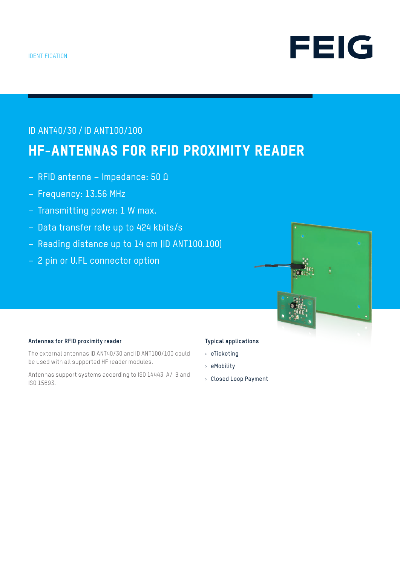

## ID ANT40/30 / ID ANT100/100

# HF-ANTENNAS FOR RFID PROXIMITY READER

- RFID antenna Impedance: 50 Ω
- Frequency: 13.56 MHz
- Transmitting power: 1 W max.
- Data transfer rate up to 424 kbits/s
- Reading distance up to 14 cm (ID ANT100.100)
- 2 pin or U.FL connector option



### **Antennas for RFID proximity reader**

The external antennas ID ANT40/30 and ID ANT100/100 could be used with all supported HF reader modules.

Antennas support systems according to ISO 14443-A/-B and ISO 15693.

### **Typical applications**

- › eTicketing
- › eMobility
- › Closed Loop Payment